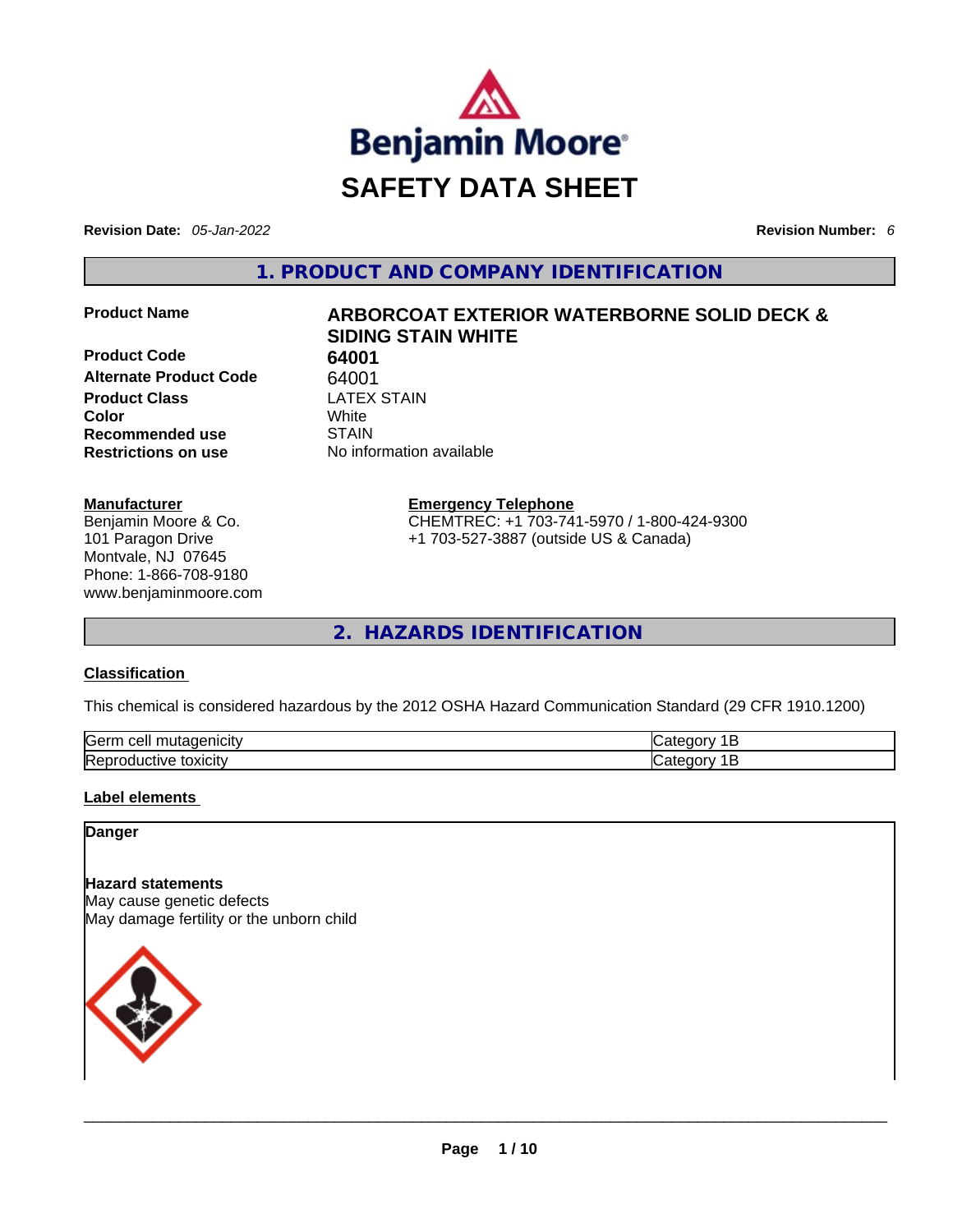

**Revision Date:** *05-Jan-2022* **Revision Number:** *6*

**1. PRODUCT AND COMPANY IDENTIFICATION** 

**Product Code 64001 Alternate Product Code** 64001 **Product Class** LATEX STAIN **Color** White **Recommended use** STAIN **Restrictions on use** No information available

# **Product Name ARBORCOAT EXTERIOR WATERBORNE SOLID DECK & SIDING STAIN WHITE**

**Emergency Telephone** CHEMTREC: +1 703-741-5970 / 1-800-424-9300 +1 703-527-3887 (outside US & Canada)

**2. HAZARDS IDENTIFICATION** 

#### **Classification**

**Manufacturer**

Benjamin Moore & Co. 101 Paragon Drive Montvale, NJ 07645 Phone: 1-866-708-9180 www.benjaminmoore.com

This chemical is considered hazardous by the 2012 OSHA Hazard Communication Standard (29 CFR 1910.1200)

| <b>Serr</b><br>$\sim$ $\sim$ $\sim$ $\sim$ $\sim$ $\sim$ $\sim$<br>cell<br>.<br>MCITV | 10 H |
|---------------------------------------------------------------------------------------|------|
| Repr<br>toxicity<br><b>TVP</b><br>энн                                                 | 10 H |

#### **Label elements**

**Danger** 

#### **Hazard statements**

May cause genetic defects May damage fertility or the unborn child

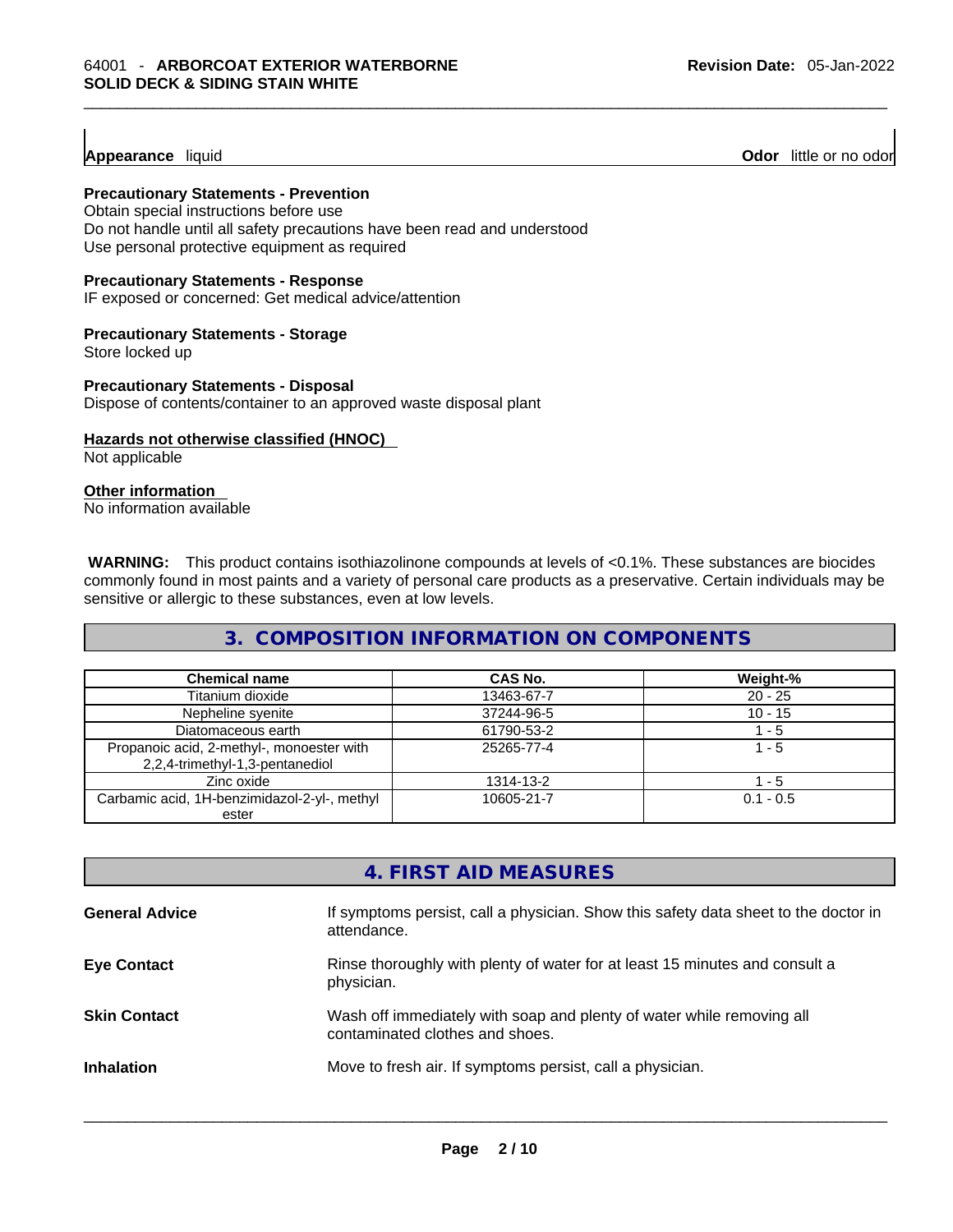#### **Appearance** liquid

**Odor** little or no odor

#### **Precautionary Statements - Prevention**

Obtain special instructions before use Do not handle until all safety precautions have been read and understood Use personal protective equipment as required

#### **Precautionary Statements - Response**

IF exposed or concerned: Get medical advice/attention

#### **Precautionary Statements - Storage**

Store locked up

**Precautionary Statements - Disposal** Dispose of contents/container to an approved waste disposal plant

# **Hazards not otherwise classified (HNOC)**

Not applicable

#### **Other information**

No information available

**WARNING:** This product contains isothiazolinone compounds at levels of <0.1%. These substances are biocides commonly found in most paints and a variety of personal care products as a preservative. Certain individuals may be sensitive or allergic to these substances, even at low levels.

# **3. COMPOSITION INFORMATION ON COMPONENTS**

| <b>Chemical name</b>                                                         | <b>CAS No.</b> | Weight-%    |
|------------------------------------------------------------------------------|----------------|-------------|
| Titanium dioxide                                                             | 13463-67-7     | $20 - 25$   |
| Nepheline syenite                                                            | 37244-96-5     | $10 - 15$   |
| Diatomaceous earth                                                           | 61790-53-2     | 1 - 5       |
| Propanoic acid, 2-methyl-, monoester with<br>2,2,4-trimethyl-1,3-pentanediol | 25265-77-4     | 1 - 5       |
| Zinc oxide                                                                   | 1314-13-2      | l - 5       |
| Carbamic acid, 1H-benzimidazol-2-yl-, methyl<br>ester                        | 10605-21-7     | $0.1 - 0.5$ |

|                       | 4. FIRST AID MEASURES                                                                                    |
|-----------------------|----------------------------------------------------------------------------------------------------------|
| <b>General Advice</b> | If symptoms persist, call a physician. Show this safety data sheet to the doctor in<br>attendance.       |
| <b>Eye Contact</b>    | Rinse thoroughly with plenty of water for at least 15 minutes and consult a<br>physician.                |
| <b>Skin Contact</b>   | Wash off immediately with soap and plenty of water while removing all<br>contaminated clothes and shoes. |
| <b>Inhalation</b>     | Move to fresh air. If symptoms persist, call a physician.                                                |
|                       |                                                                                                          |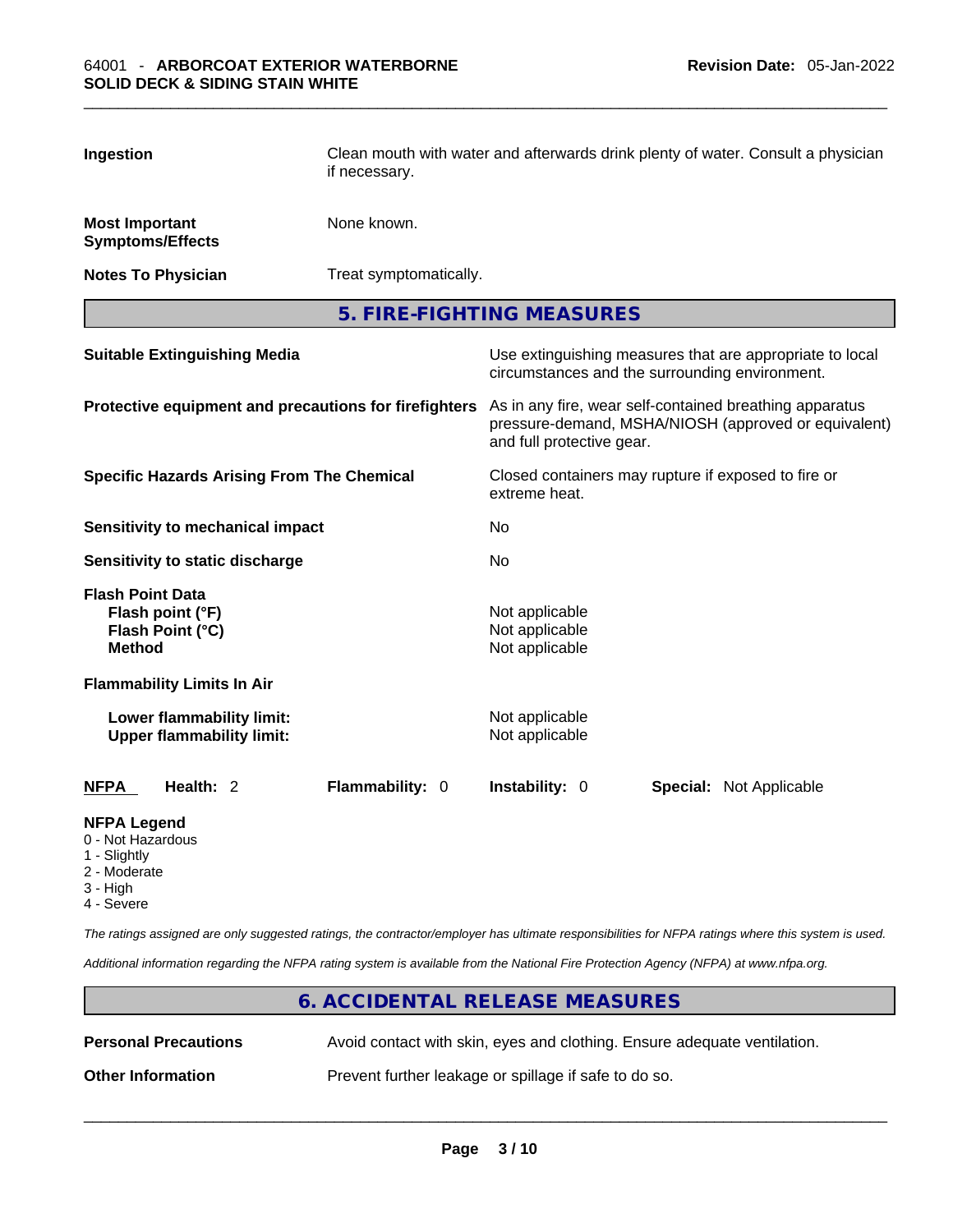| Ingestion                                                                        | Clean mouth with water and afterwards drink plenty of water. Consult a physician<br>if necessary. |                                                                                                                                              |  |
|----------------------------------------------------------------------------------|---------------------------------------------------------------------------------------------------|----------------------------------------------------------------------------------------------------------------------------------------------|--|
| <b>Most Important</b><br><b>Symptoms/Effects</b>                                 | None known.                                                                                       |                                                                                                                                              |  |
| <b>Notes To Physician</b>                                                        | Treat symptomatically.                                                                            |                                                                                                                                              |  |
|                                                                                  |                                                                                                   | 5. FIRE-FIGHTING MEASURES                                                                                                                    |  |
| <b>Suitable Extinguishing Media</b>                                              |                                                                                                   | Use extinguishing measures that are appropriate to local<br>circumstances and the surrounding environment.                                   |  |
| Protective equipment and precautions for firefighters                            |                                                                                                   | As in any fire, wear self-contained breathing apparatus<br>pressure-demand, MSHA/NIOSH (approved or equivalent)<br>and full protective gear. |  |
| <b>Specific Hazards Arising From The Chemical</b>                                |                                                                                                   | Closed containers may rupture if exposed to fire or<br>extreme heat.                                                                         |  |
| Sensitivity to mechanical impact                                                 |                                                                                                   | No                                                                                                                                           |  |
| Sensitivity to static discharge                                                  |                                                                                                   | No                                                                                                                                           |  |
| <b>Flash Point Data</b><br>Flash point (°F)<br>Flash Point (°C)<br><b>Method</b> |                                                                                                   | Not applicable<br>Not applicable<br>Not applicable                                                                                           |  |
| <b>Flammability Limits In Air</b>                                                |                                                                                                   |                                                                                                                                              |  |
| <b>Lower flammability limit:</b><br><b>Upper flammability limit:</b>             |                                                                                                   | Not applicable<br>Not applicable                                                                                                             |  |
| Health: 2<br><b>NFPA</b>                                                         | Flammability: 0                                                                                   | Instability: 0<br><b>Special: Not Applicable</b>                                                                                             |  |
| <b>NFPA Legend</b>                                                               |                                                                                                   |                                                                                                                                              |  |

- 0 Not Hazardous
- 1 Slightly
- 2 Moderate
- 3 High
- 4 Severe

*The ratings assigned are only suggested ratings, the contractor/employer has ultimate responsibilities for NFPA ratings where this system is used.* 

*Additional information regarding the NFPA rating system is available from the National Fire Protection Agency (NFPA) at www.nfpa.org.* 

|                             | 6. ACCIDENTAL RELEASE MEASURES                                           |
|-----------------------------|--------------------------------------------------------------------------|
| <b>Personal Precautions</b> | Avoid contact with skin, eyes and clothing. Ensure adequate ventilation. |
| <b>Other Information</b>    | Prevent further leakage or spillage if safe to do so.                    |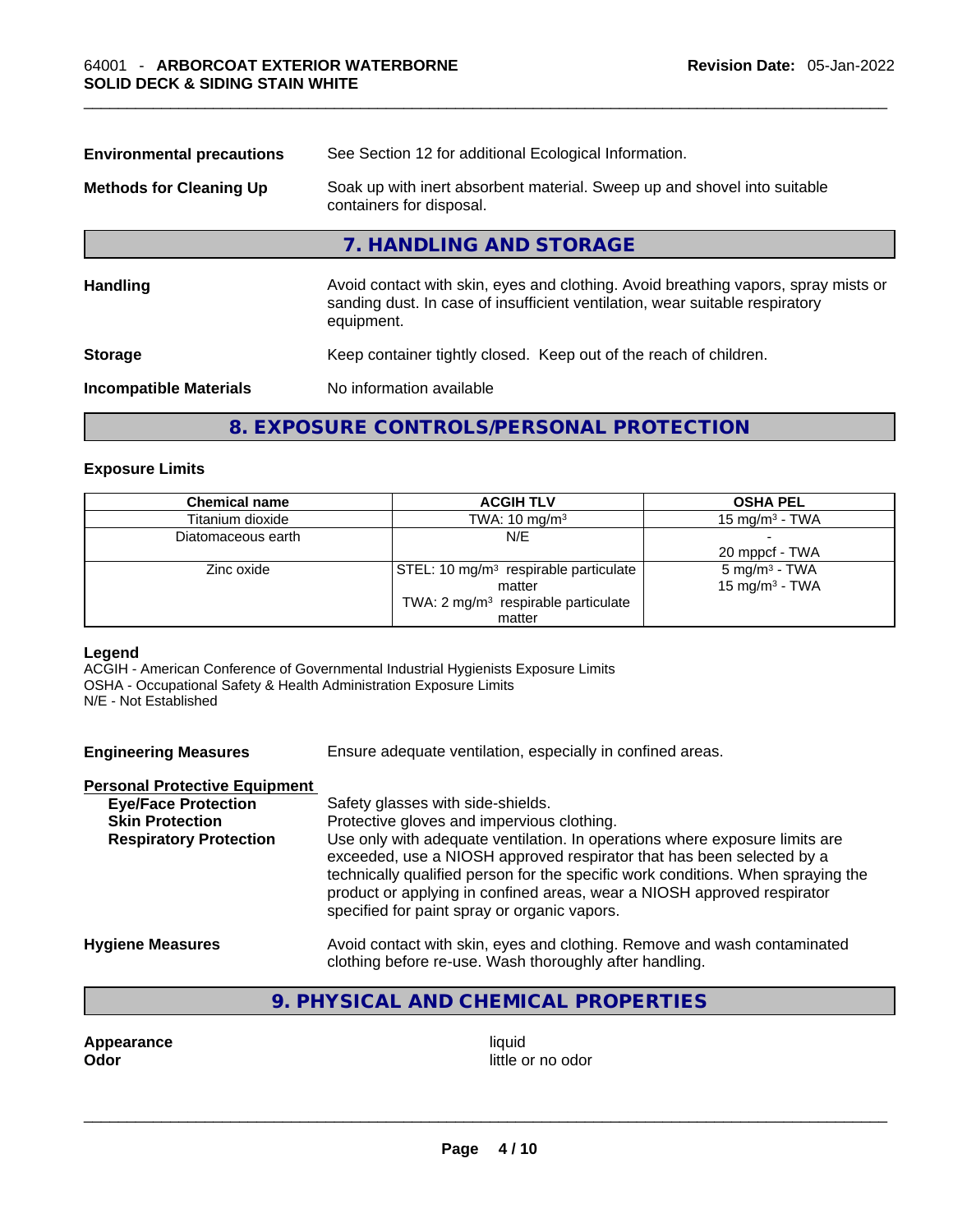| <b>Environmental precautions</b> | See Section 12 for additional Ecological Information.                                                                                                                            |  |  |
|----------------------------------|----------------------------------------------------------------------------------------------------------------------------------------------------------------------------------|--|--|
| <b>Methods for Cleaning Up</b>   | Soak up with inert absorbent material. Sweep up and shovel into suitable<br>containers for disposal.                                                                             |  |  |
|                                  | 7. HANDLING AND STORAGE                                                                                                                                                          |  |  |
| <b>Handling</b>                  | Avoid contact with skin, eyes and clothing. Avoid breathing vapors, spray mists or<br>sanding dust. In case of insufficient ventilation, wear suitable respiratory<br>equipment. |  |  |
| <b>Storage</b>                   | Keep container tightly closed. Keep out of the reach of children.                                                                                                                |  |  |
| <b>Incompatible Materials</b>    | No information available                                                                                                                                                         |  |  |
|                                  |                                                                                                                                                                                  |  |  |

# **8. EXPOSURE CONTROLS/PERSONAL PROTECTION**

#### **Exposure Limits**

| <b>Chemical name</b> | <b>ACGIH TLV</b>                                  | <b>OSHA PEL</b>            |
|----------------------|---------------------------------------------------|----------------------------|
| Titanium dioxide     | TWA: $10 \text{ mg/m}^3$                          | 15 mg/m $3$ - TWA          |
| Diatomaceous earth   | N/E                                               |                            |
|                      |                                                   | 20 mppcf - TWA             |
| Zinc oxide           | STEL: 10 mg/m <sup>3</sup> respirable particulate | $5 \text{ mg/m}^3$ - TWA   |
|                      | matter                                            | 15 mg/m <sup>3</sup> - TWA |
|                      | TWA: 2 mg/m <sup>3</sup> respirable particulate   |                            |
|                      | matter                                            |                            |

#### **Legend**

ACGIH - American Conference of Governmental Industrial Hygienists Exposure Limits OSHA - Occupational Safety & Health Administration Exposure Limits N/E - Not Established

**Engineering Measures** Ensure adequate ventilation, especially in confined areas.

#### **Personal Protective Equipment**

| <b>Eye/Face Protection</b>    | Safety glasses with side-shields.                                                |
|-------------------------------|----------------------------------------------------------------------------------|
| <b>Skin Protection</b>        | Protective gloves and impervious clothing.                                       |
| <b>Respiratory Protection</b> | Use only with adequate ventilation. In operations where exposure limits are      |
|                               | exceeded, use a NIOSH approved respirator that has been selected by a            |
|                               | technically qualified person for the specific work conditions. When spraying the |
|                               | product or applying in confined areas, wear a NIOSH approved respirator          |
|                               | specified for paint spray or organic vapors.                                     |
| <b>Hygiene Measures</b>       | Avoid contact with skin, eyes and clothing. Remove and wash contaminated         |
|                               | clothing before re-use. Wash thoroughly after handling.                          |

# **9. PHYSICAL AND CHEMICAL PROPERTIES**

**Appearance liquid** 

**Odor** little or no odor \_\_\_\_\_\_\_\_\_\_\_\_\_\_\_\_\_\_\_\_\_\_\_\_\_\_\_\_\_\_\_\_\_\_\_\_\_\_\_\_\_\_\_\_\_\_\_\_\_\_\_\_\_\_\_\_\_\_\_\_\_\_\_\_\_\_\_\_\_\_\_\_\_\_\_\_\_\_\_\_\_\_\_\_\_\_\_\_\_\_\_\_\_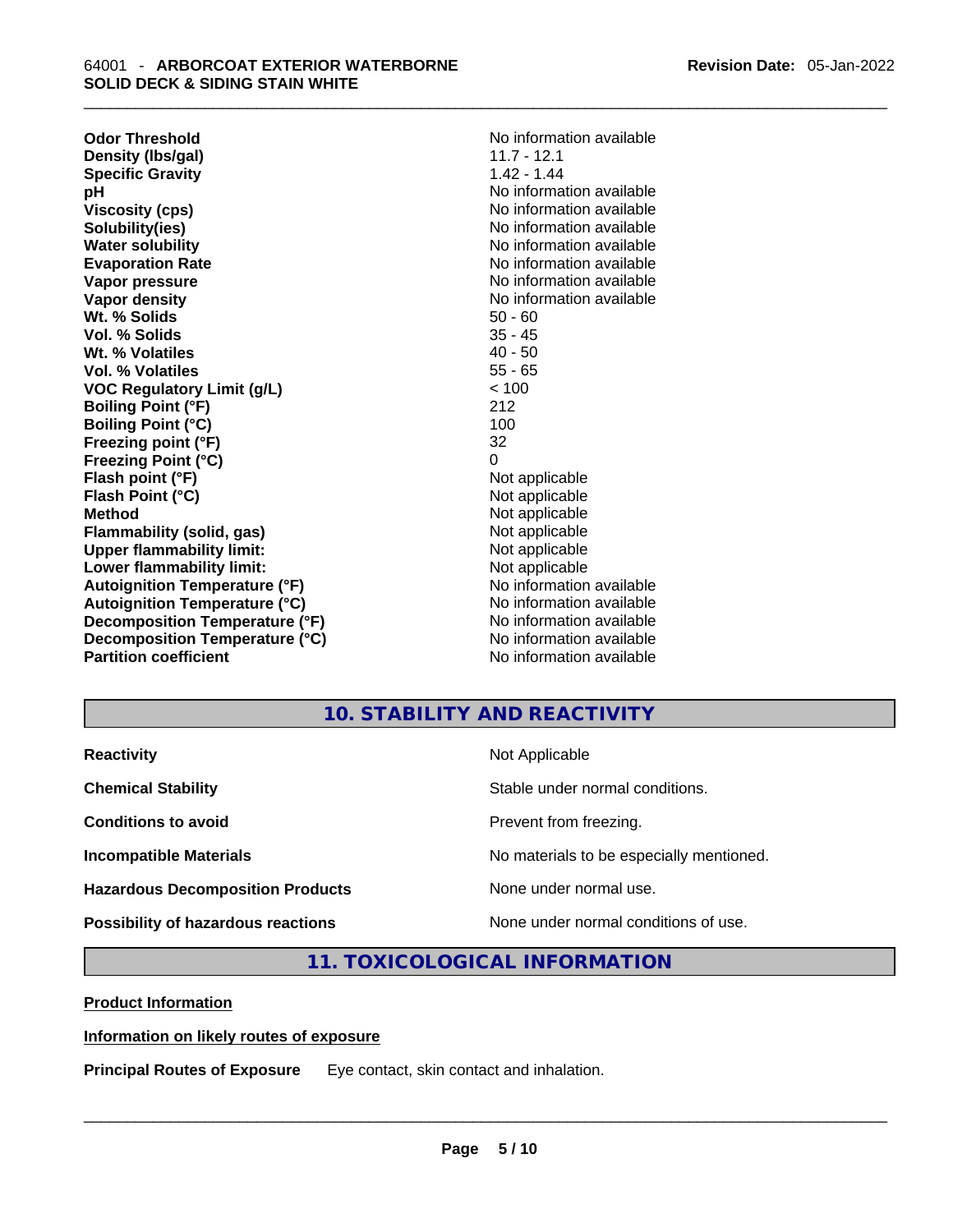**Odor Threshold** No information available **Density (lbs/gal)** 11.7 - 12.1 **Specific Gravity** 1.42 - 1.44 **pH bH 1 Viscosity (cps) Viscosity (cps) No information available Solubility(ies)** No information available in the solution of the solution of the solution available in the solution of the solution of the solution of the solution of the solution of the solution of the solution of the so **Water solubility No information available No information available Evaporation Rate No information available Vapor pressure No information available Vapor pressure No information available Vapor density No information available No information available Wt. % Solids** 50 - 60<br> **Vol. % Solids** 35 - 45 **Vol. % Solids Wt. % Volatiles** 40 - 50 **Vol. % Volatiles** 55 - 65 **VOC Regulatory Limit (g/L)** < 100 **Boiling Point (°F)** 212 **Boiling Point (°C)** 100 **Freezing point (°F)** 32 **Freezing Point (°C)** 0 **Flash point (°F)**<br> **Flash Point (°C)**<br> **Flash Point (°C)**<br> **C Flash Point (°C) Method** Not applicable<br> **Flammability (solid, gas)** Not applicable Not applicable **Flammability (solid, gas)** Not applicable Not applicable<br>
Upper flammability limit: Not applicable **Upper flammability limit: Lower flammability limit:**<br> **Autoianition Temperature (°F)** Not applicable Not applicable not a Not applicable **Autoignition Temperature (°F) Autoignition Temperature (°C)** No information available **Decomposition Temperature (°F)** No information available **Decomposition Temperature (°C)** No information available **Partition coefficient** No information available

**No information available** 

# **10. STABILITY AND REACTIVITY**

| <b>Reactivity</b>                         | Not Applicable                           |
|-------------------------------------------|------------------------------------------|
| <b>Chemical Stability</b>                 | Stable under normal conditions.          |
| <b>Conditions to avoid</b>                | Prevent from freezing.                   |
| <b>Incompatible Materials</b>             | No materials to be especially mentioned. |
| <b>Hazardous Decomposition Products</b>   | None under normal use.                   |
| <b>Possibility of hazardous reactions</b> | None under normal conditions of use.     |

**11. TOXICOLOGICAL INFORMATION** 

**Product Information**

**Information on likely routes of exposure**

**Principal Routes of Exposure** Eye contact, skin contact and inhalation. \_\_\_\_\_\_\_\_\_\_\_\_\_\_\_\_\_\_\_\_\_\_\_\_\_\_\_\_\_\_\_\_\_\_\_\_\_\_\_\_\_\_\_\_\_\_\_\_\_\_\_\_\_\_\_\_\_\_\_\_\_\_\_\_\_\_\_\_\_\_\_\_\_\_\_\_\_\_\_\_\_\_\_\_\_\_\_\_\_\_\_\_\_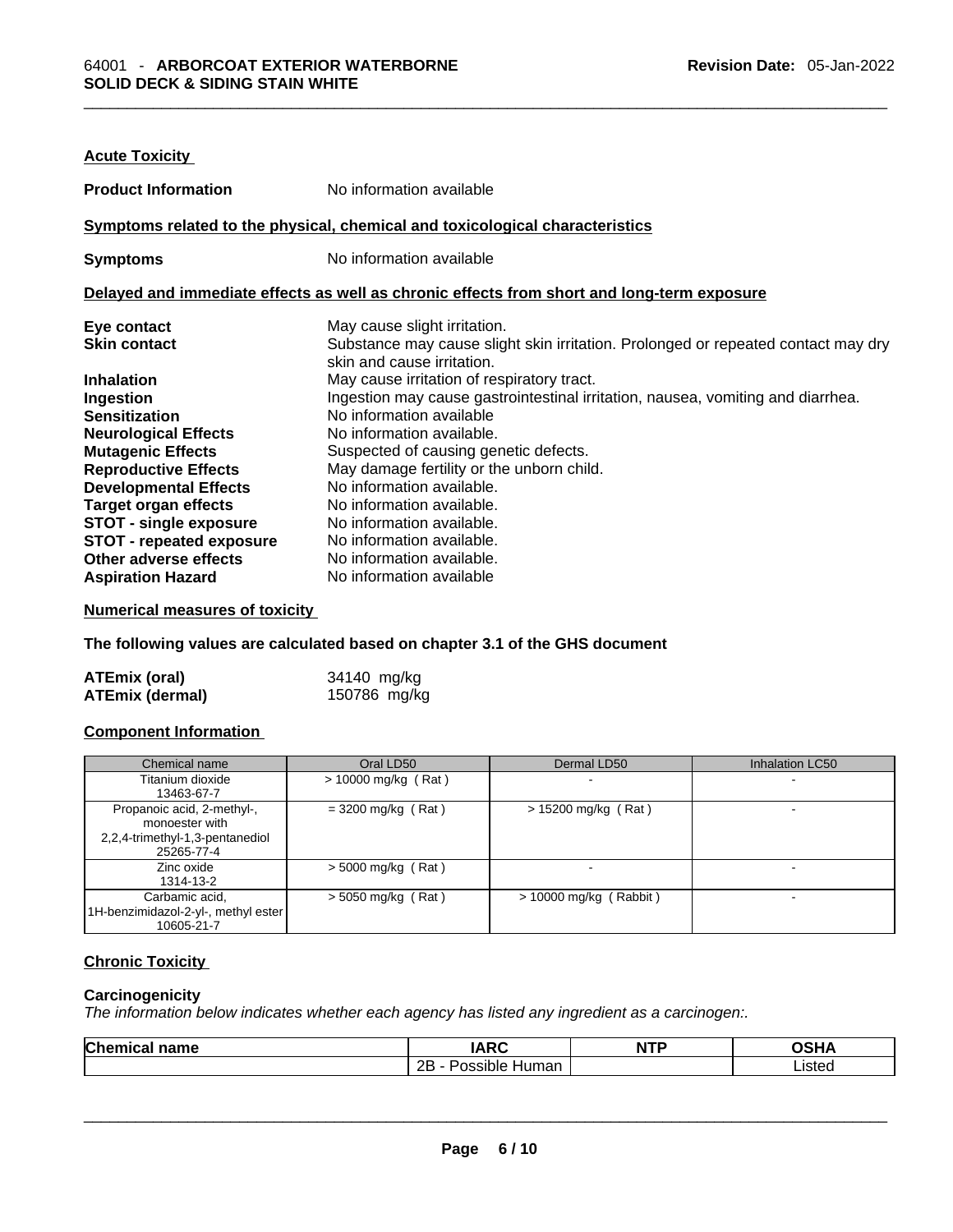| No information available                                                                                        |
|-----------------------------------------------------------------------------------------------------------------|
| Symptoms related to the physical, chemical and toxicological characteristics                                    |
| No information available                                                                                        |
| Delayed and immediate effects as well as chronic effects from short and long-term exposure                      |
| May cause slight irritation.                                                                                    |
| Substance may cause slight skin irritation. Prolonged or repeated contact may dry<br>skin and cause irritation. |
| May cause irritation of respiratory tract.                                                                      |
| Ingestion may cause gastrointestinal irritation, nausea, vomiting and diarrhea.                                 |
| No information available                                                                                        |
| No information available.                                                                                       |
| Suspected of causing genetic defects.                                                                           |
| May damage fertility or the unborn child.                                                                       |
| No information available.                                                                                       |
| No information available.                                                                                       |
| No information available.                                                                                       |
| No information available.                                                                                       |
| No information available.                                                                                       |
| No information available                                                                                        |
|                                                                                                                 |

#### **Numerical measures of toxicity**

**The following values are calculated based on chapter 3.1 of the GHS document**

| ATEmix (oral)          | 34140 mg/kg  |
|------------------------|--------------|
| <b>ATEmix (dermal)</b> | 150786 mg/kg |

#### **Component Information**

| Chemical name                                                                                 | Oral LD50             | Dermal LD50              | Inhalation LC50          |
|-----------------------------------------------------------------------------------------------|-----------------------|--------------------------|--------------------------|
| Titanium dioxide<br>13463-67-7                                                                | $> 10000$ mg/kg (Rat) |                          | $\overline{\phantom{0}}$ |
| Propanoic acid, 2-methyl-,<br>monoester with<br>2,2,4-trimethyl-1,3-pentanediol<br>25265-77-4 | $=$ 3200 mg/kg (Rat)  | $> 15200$ mg/kg (Rat)    |                          |
| Zinc oxide<br>1314-13-2                                                                       | $>$ 5000 mg/kg (Rat)  |                          |                          |
| Carbamic acid,<br>1H-benzimidazol-2-yl-, methyl ester<br>10605-21-7                           | $>$ 5050 mg/kg (Rat)  | $> 10000$ mg/kg (Rabbit) | $\overline{\phantom{0}}$ |

#### **Chronic Toxicity**

#### **Carcinogenicity**

*The information below indicates whether each agency has listed any ingredient as a carcinogen:.* 

| <b>Chemical name</b> | <b>IARC</b>         | <b>NTP</b> | <b>OSHA</b> |
|----------------------|---------------------|------------|-------------|
|                      | 2B - Possible Human |            | Listed      |
|                      |                     |            |             |
|                      |                     |            |             |
|                      |                     |            |             |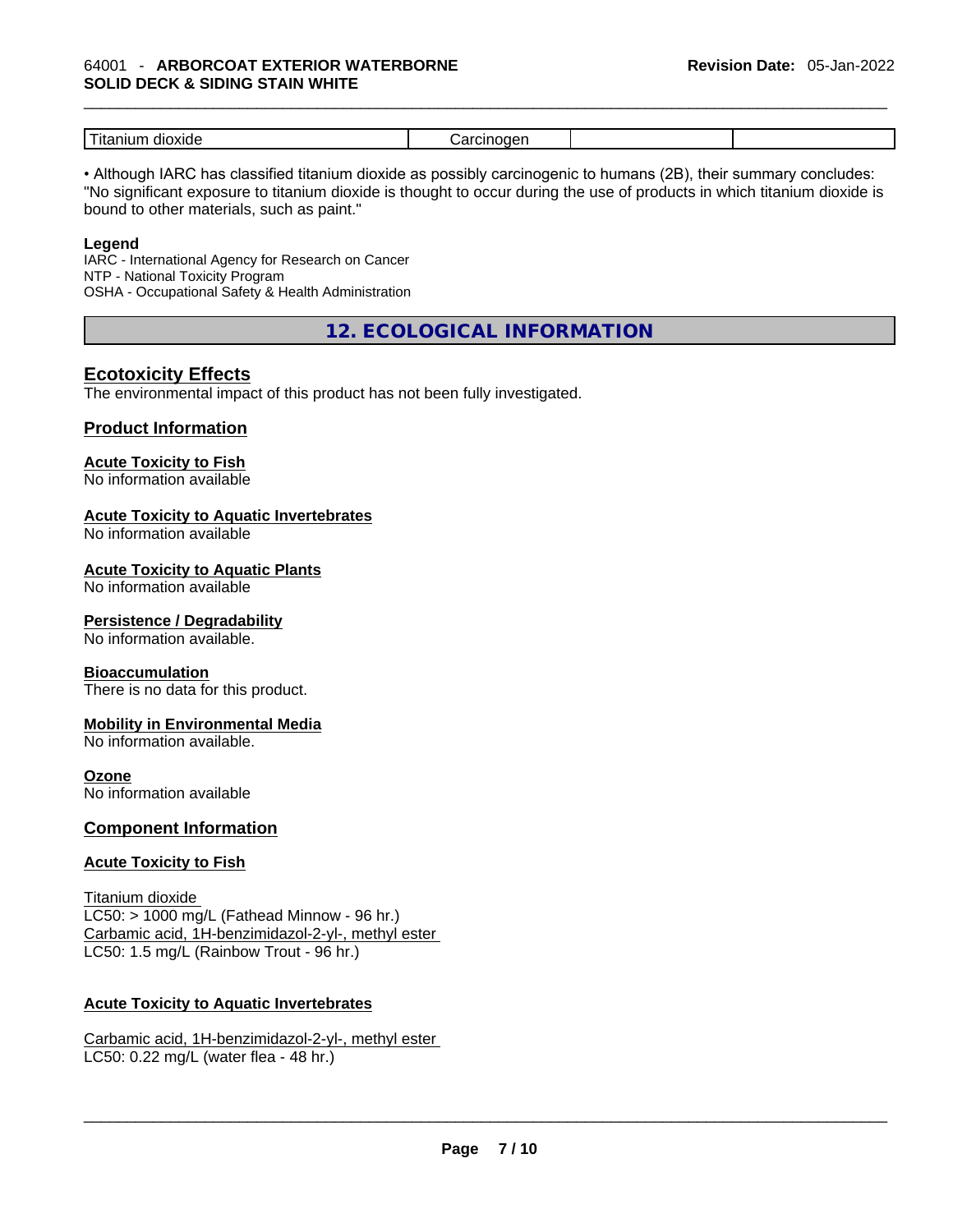| $- - -$<br>. н<br>ш<br><b>XIII</b><br><br>ш | . |  |
|---------------------------------------------|---|--|
|                                             |   |  |

• Although IARC has classified titanium dioxide as possibly carcinogenic to humans (2B), their summary concludes: "No significant exposure to titanium dioxide is thought to occur during the use of products in which titanium dioxide is bound to other materials, such as paint."

#### **Legend**

IARC - International Agency for Research on Cancer NTP - National Toxicity Program OSHA - Occupational Safety & Health Administration

**12. ECOLOGICAL INFORMATION** 

### **Ecotoxicity Effects**

The environmental impact of this product has not been fully investigated.

#### **Product Information**

#### **Acute Toxicity to Fish**

No information available

#### **Acute Toxicity to Aquatic Invertebrates**

No information available

#### **Acute Toxicity to Aquatic Plants**

No information available

#### **Persistence / Degradability**

No information available.

#### **Bioaccumulation**

There is no data for this product.

#### **Mobility in Environmental Media**

No information available.

#### **Ozone**

No information available

#### **Component Information**

#### **Acute Toxicity to Fish**

```
Titanium dioxide
LC50: > 1000 mg/L (Fathead Minnow - 96 hr.)
Carbamic acid, 1H-benzimidazol-2-yl-, methyl ester
LC50: 1.5 mg/L (Rainbow Trout - 96 hr.)
```
#### **Acute Toxicity to Aquatic Invertebrates**

Carbamic acid, 1H-benzimidazol-2-yl-, methyl ester LC50: 0.22 mg/L (water flea - 48 hr.)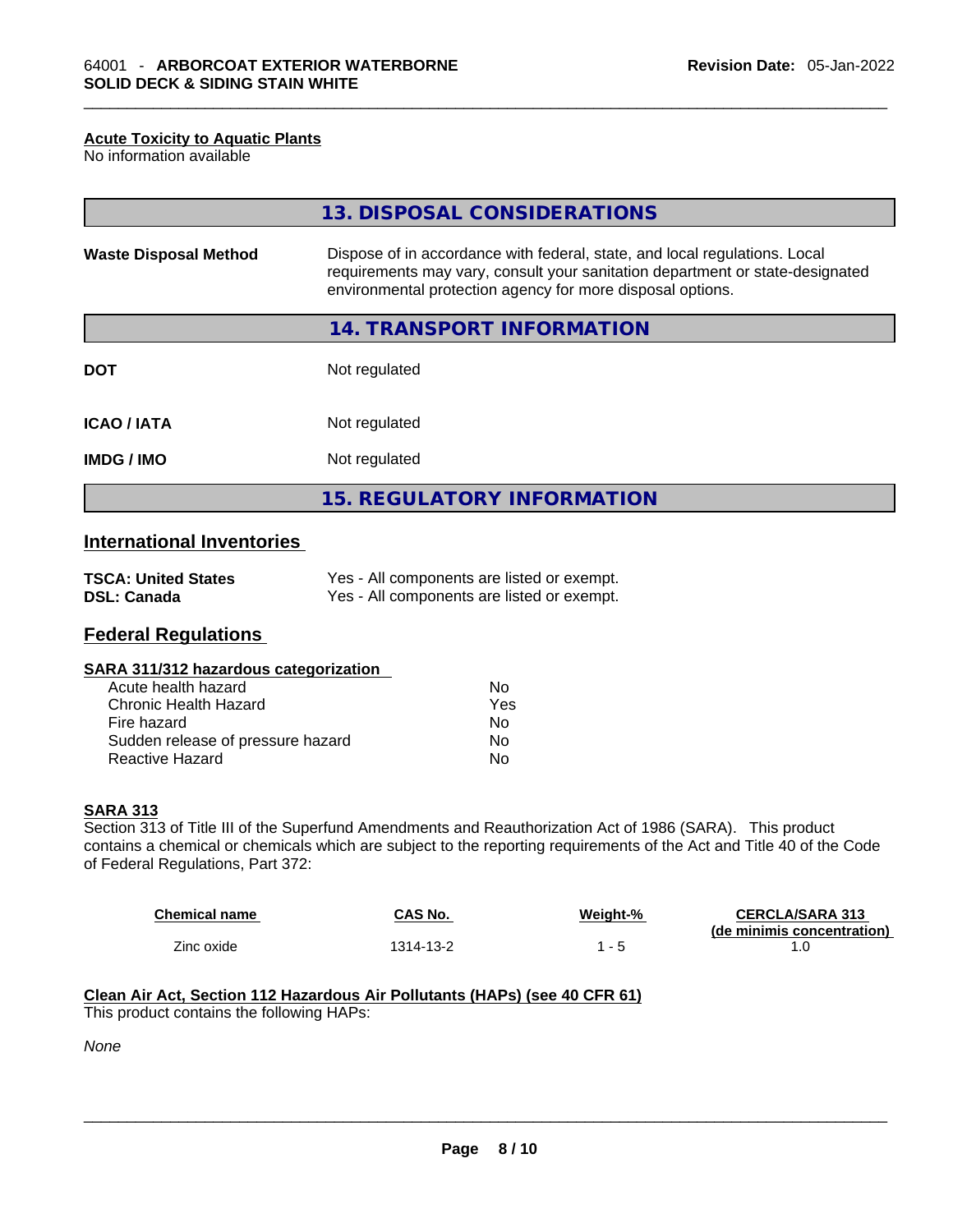#### **Acute Toxicity to Aquatic Plants**

No information available

|                              | 13. DISPOSAL CONSIDERATIONS                                                                                                                                                                                               |
|------------------------------|---------------------------------------------------------------------------------------------------------------------------------------------------------------------------------------------------------------------------|
| <b>Waste Disposal Method</b> | Dispose of in accordance with federal, state, and local regulations. Local<br>requirements may vary, consult your sanitation department or state-designated<br>environmental protection agency for more disposal options. |
|                              | <b>14. TRANSPORT INFORMATION</b>                                                                                                                                                                                          |
| <b>DOT</b>                   | Not regulated                                                                                                                                                                                                             |
| <b>ICAO/IATA</b>             | Not regulated                                                                                                                                                                                                             |
| <b>IMDG/IMO</b>              | Not regulated                                                                                                                                                                                                             |
|                              | <b>15. REGULATORY INFORMATION</b>                                                                                                                                                                                         |

# **International Inventories**

| <b>TSCA: United States</b> | Yes - All components are listed or exempt. |
|----------------------------|--------------------------------------------|
| <b>DSL: Canada</b>         | Yes - All components are listed or exempt. |

## **Federal Regulations**

| SARA 311/312 hazardous categorization |  |
|---------------------------------------|--|
|                                       |  |

| Acute health hazard               | Nο  |
|-----------------------------------|-----|
| Chronic Health Hazard             | Yes |
| Fire hazard                       | Nο  |
| Sudden release of pressure hazard | No  |
| <b>Reactive Hazard</b>            | N٥  |

#### **SARA 313**

Section 313 of Title III of the Superfund Amendments and Reauthorization Act of 1986 (SARA). This product contains a chemical or chemicals which are subject to the reporting requirements of the Act and Title 40 of the Code of Federal Regulations, Part 372:

| <b>Chemical name</b> | CAS No.   | Weight-% | <b>CERCLA/SARA 313</b><br>(de minimis concentration) |
|----------------------|-----------|----------|------------------------------------------------------|
| Zinc oxide           | 1314-13-2 |          |                                                      |

### **Clean Air Act,Section 112 Hazardous Air Pollutants (HAPs) (see 40 CFR 61)**

This product contains the following HAPs:

*None*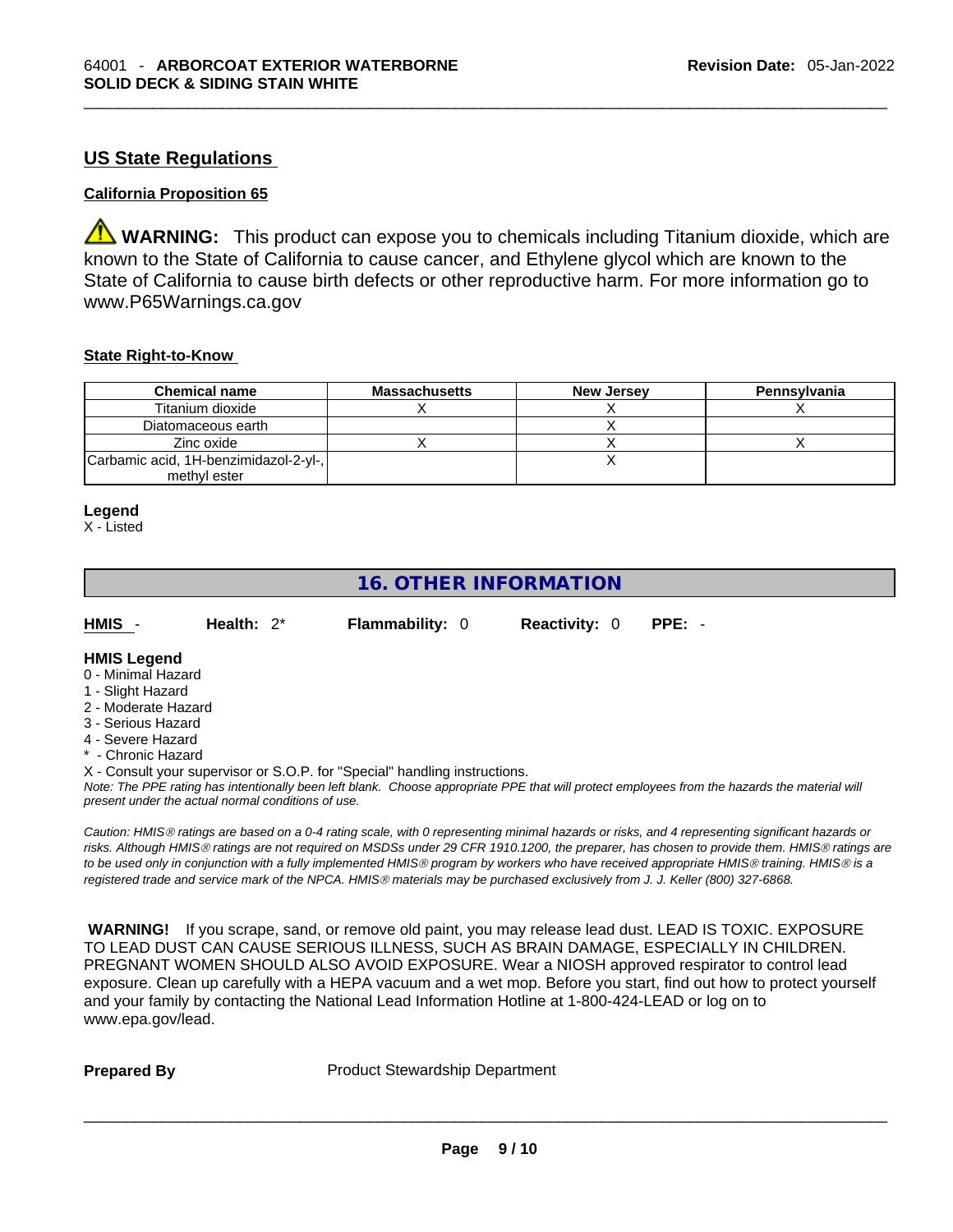# **US State Regulations**

#### **California Proposition 65**

**WARNING:** This product can expose you to chemicals including Titanium dioxide, which are known to the State of California to cause cancer, and Ethylene glycol which are known to the State of California to cause birth defects or other reproductive harm. For more information go to www.P65Warnings.ca.gov

### **State Right-to-Know**

| <b>Chemical name</b>                  | <b>Massachusetts</b> | <b>New Jersey</b> | Pennsylvania |
|---------------------------------------|----------------------|-------------------|--------------|
| Titanium dioxide                      |                      |                   |              |
| Diatomaceous earth                    |                      |                   |              |
| Zinc oxide                            |                      |                   |              |
| Carbamic acid, 1H-benzimidazol-2-yl-, |                      |                   |              |
| methyl ester                          |                      |                   |              |

#### **Legend**

X - Listed

# **16. OTHER INFORMATION**

| HMIS - | Health: $2^*$ | <b>Flammability: 0</b> | <b>Reactivity: 0 PPE: -</b> |  |  |
|--------|---------------|------------------------|-----------------------------|--|--|
|        |               |                        |                             |  |  |

#### **HMIS Legend** 0 - Minimal Hazard

- 1 Slight Hazard
- 2 Moderate Hazard
- 3 Serious Hazard
- 4 Severe Hazard
- \* Chronic Hazard

X - Consult your supervisor or S.O.P. for "Special" handling instructions.

Note: The PPE rating has intentionally been left blank. Choose appropriate PPE that will protect employees from the hazards the material will *present under the actual normal conditions of use.* 

*Caution: HMISÒ ratings are based on a 0-4 rating scale, with 0 representing minimal hazards or risks, and 4 representing significant hazards or risks. Although HMISÒ ratings are not required on MSDSs under 29 CFR 1910.1200, the preparer, has chosen to provide them. HMISÒ ratings are to be used only in conjunction with a fully implemented HMISÒ program by workers who have received appropriate HMISÒ training. HMISÒ is a registered trade and service mark of the NPCA. HMISÒ materials may be purchased exclusively from J. J. Keller (800) 327-6868.* 

 **WARNING!** If you scrape, sand, or remove old paint, you may release lead dust. LEAD IS TOXIC. EXPOSURE TO LEAD DUST CAN CAUSE SERIOUS ILLNESS, SUCH AS BRAIN DAMAGE, ESPECIALLY IN CHILDREN. PREGNANT WOMEN SHOULD ALSO AVOID EXPOSURE.Wear a NIOSH approved respirator to control lead exposure. Clean up carefully with a HEPA vacuum and a wet mop. Before you start, find out how to protect yourself and your family by contacting the National Lead Information Hotline at 1-800-424-LEAD or log on to www.epa.gov/lead.

**Prepared By Product Stewardship Department**